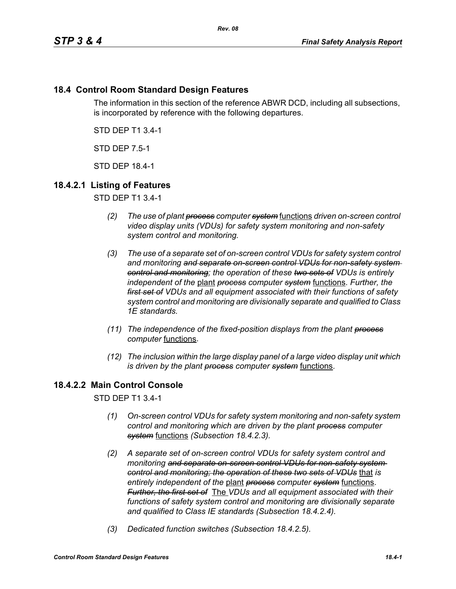# **18.4 Control Room Standard Design Features**

The information in this section of the reference ABWR DCD, including all subsections, is incorporated by reference with the following departures.

STD DEP T1 3.4-1

STD DEP 7.5-1

STD DEP 18.4-1

## **18.4.2.1 Listing of Features**

STD DEP T1 3.4-1

- *(2) The use of plant process computer system* functions *driven on-screen control video display units (VDUs) for safety system monitoring and non-safety system control and monitoring.*
- *(3) The use of a separate set of on-screen control VDUs for safety system control and monitoring and separate on-screen control VDUs for non-safety system control and monitoring; the operation of these two sets of VDUs is entirely independent of the* plant *process computer system* functions. *Further, the first set of VDUs and all equipment associated with their functions of safety system control and monitoring are divisionally separate and qualified to Class 1E standards.*
- *(11) The independence of the fixed-position displays from the plant process computer* functions.
- *(12) The inclusion within the large display panel of a large video display unit which is driven by the plant process computer system* functions.

# **18.4.2.2 Main Control Console**

STD DEP T1 3.4-1

- *(1) On-screen control VDUs for safety system monitoring and non-safety system control and monitoring which are driven by the plant process computer system* functions *(Subsection 18.4.2.3).*
- *(2) A separate set of on-screen control VDUs for safety system control and monitoring and separate on-screen control VDUs for non-safety system control and monitoring; the operation of these two sets of VDUs* that *is entirely independent of the* plant *process computer system* functions. *Further, the first set of* The *VDUs and all equipment associated with their functions of safety system control and monitoring are divisionally separate and qualified to Class IE standards (Subsection 18.4.2.4).*
- *(3) Dedicated function switches (Subsection 18.4.2.5).*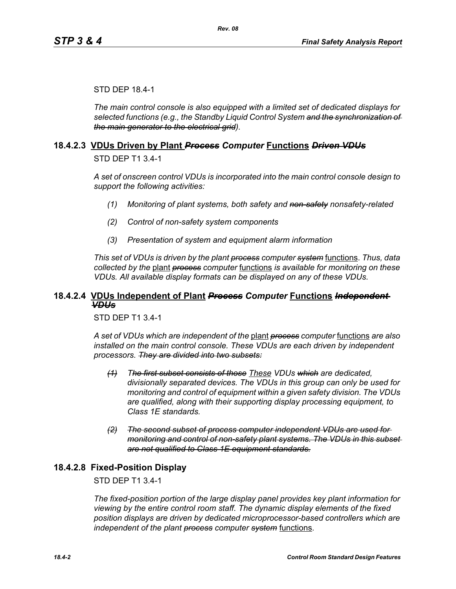### STD DEP 18.4-1

*The main control console is also equipped with a limited set of dedicated displays for selected functions (e.g., the Standby Liquid Control System and the synchronization of the main generator to the electrical grid).*

### **18.4.2.3 VDUs Driven by Plant** *Process Computer* **Functions** *Driven VDUs*

STD DEP T1 3.4-1

*A set of onscreen control VDUs is incorporated into the main control console design to support the following activities:*

- *(1) Monitoring of plant systems, both safety and non-safety nonsafety-related*
- *(2) Control of non-safety system components*
- *(3) Presentation of system and equipment alarm information*

*This set of VDUs is driven by the plant process computer system* functions. *Thus, data collected by the* plant *process computer* functions *is available for monitoring on these VDUs. All available display formats can be displayed on any of these VDUs.*

## **18.4.2.4 VDUs Independent of Plant** *Process Computer* **Functions** *Independent VDUs*

STD DEP T1 3.4-1

*A set of VDUs which are independent of the* plant *process computer* functions *are also installed on the main control console. These VDUs are each driven by independent processors. They are divided into two subsets:*

- *(1) The first subset consists of those These VDUs which are dedicated, divisionally separated devices. The VDUs in this group can only be used for monitoring and control of equipment within a given safety division. The VDUs are qualified, along with their supporting display processing equipment, to Class 1E standards.*
- *(2) The second subset of process computer independent VDUs are used for monitoring and control of non-safety plant systems. The VDUs in this subset are not qualified to Class 1E equipment standards.*

## **18.4.2.8 Fixed-Position Display**

STD DEP T1 3.4-1

*The fixed-position portion of the large display panel provides key plant information for viewing by the entire control room staff. The dynamic display elements of the fixed position displays are driven by dedicated microprocessor-based controllers which are independent of the plant process computer system* functions.